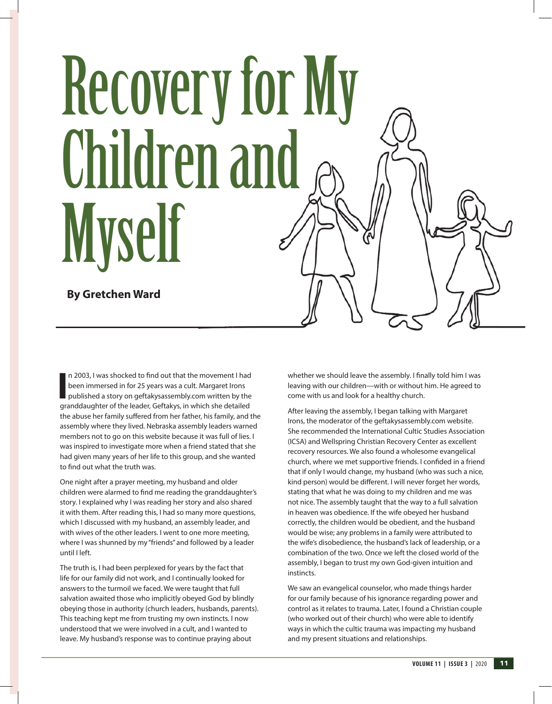# Recovery for My Children and Myself

**By Gretchen Ward**

In 2003, I was shocked to find out that the movement I had<br>been immersed in for 25 years was a cult. Margaret Irons<br>published a story on geftakys, is which she detailed<br>granddaughter of the leader, Geftakys, in which she d n 2003, I was shocked to find out that the movement I had been immersed in for 25 years was a cult. Margaret Irons published a story on geftakysassembly.com written by the the abuse her family suffered from her father, his family, and the assembly where they lived. Nebraska assembly leaders warned members not to go on this website because it was full of lies. I was inspired to investigate more when a friend stated that she had given many years of her life to this group, and she wanted to find out what the truth was.

One night after a prayer meeting, my husband and older children were alarmed to find me reading the granddaughter's story. I explained why I was reading her story and also shared it with them. After reading this, I had so many more questions, which I discussed with my husband, an assembly leader, and with wives of the other leaders. I went to one more meeting, where I was shunned by my "friends" and followed by a leader until I left.

The truth is, I had been perplexed for years by the fact that life for our family did not work, and I continually looked for answers to the turmoil we faced. We were taught that full salvation awaited those who implicitly obeyed God by blindly obeying those in authority (church leaders, husbands, parents). This teaching kept me from trusting my own instincts. I now understood that we were involved in a cult, and I wanted to leave. My husband's response was to continue praying about

whether we should leave the assembly. I finally told him I was leaving with our children—with or without him. He agreed to come with us and look for a healthy church.

After leaving the assembly, I began talking with Margaret Irons, the moderator of the geftakysassembly.com website. She recommended the International Cultic Studies Association (ICSA) and Wellspring Christian Recovery Center as excellent recovery resources. We also found a wholesome evangelical church, where we met supportive friends. I confided in a friend that if only I would change, my husband (who was such a nice, kind person) would be different. I will never forget her words, stating that what he was doing to my children and me was not nice. The assembly taught that the way to a full salvation in heaven was obedience. If the wife obeyed her husband correctly, the children would be obedient, and the husband would be wise; any problems in a family were attributed to the wife's disobedience, the husband's lack of leadership, or a combination of the two. Once we left the closed world of the assembly, I began to trust my own God-given intuition and instincts.

We saw an evangelical counselor, who made things harder for our family because of his ignorance regarding power and control as it relates to trauma. Later, I found a Christian couple (who worked out of their church) who were able to identify ways in which the cultic trauma was impacting my husband and my present situations and relationships.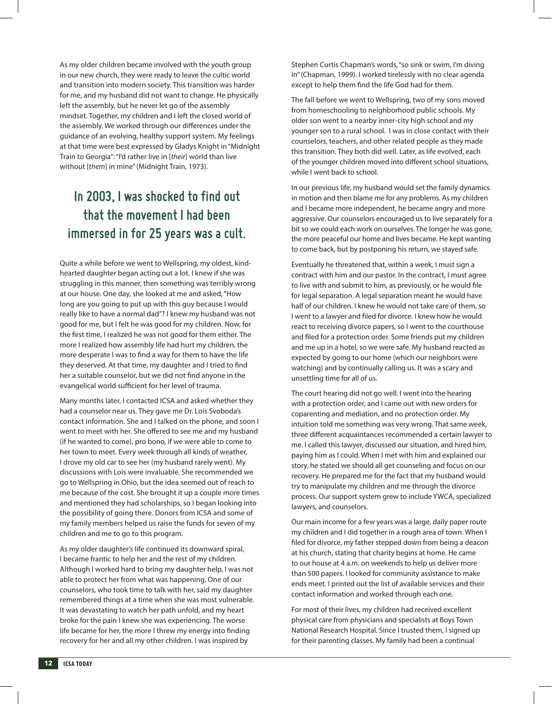As my older children became involved with the youth group in our new church, they were ready to leave the cultic world and transition into modern society. This transition was harder for me, and my husband did not want to change. He physically left the assembly, but he never let go of the assembly mindset. Together, my children and I left the closed world of the assembly. We worked through our differences under the guidance of an evolving, healthy support system. My feelings at that time were best expressed by Gladys Knight in "Midnight Train to Georgia": "I'd rather live in [*their*] world than live without [*them*] in mine" (Midnight Train, 1973).

## **In 2003, I was shocked to find out that the movement I had been immersed in for 25 years was a cult.**

Quite a while before we went to Wellspring, my oldest, kindhearted daughter began acting out a lot. I knew if she was struggling in this manner, then something was terribly wrong at our house. One day, she looked at me and asked, "How long are you going to put up with this guy because I would really like to have a normal dad"? I knew my husband was not good for me, but I felt he was good for my children. Now, for the first time, I realized he was not good for them either. The more I realized how assembly life had hurt my children, the more desperate I was to find a way for them to have the life they deserved. At that time, my daughter and I tried to find her a suitable counselor, but we did not find anyone in the evangelical world sufficient for her level of trauma.

Many months later, I contacted ICSA and asked whether they had a counselor near us. They gave me Dr. Lois Svoboda's contact information. She and I talked on the phone, and soon I went to meet with her. She offered to see me and my husband (if he wanted to come), pro bono, if we were able to come to her town to meet. Every week through all kinds of weather, I drove my old car to see her (my husband rarely went). My discussions with Lois were invaluable. She recommended we go to Wellspring in Ohio, but the idea seemed out of reach to me because of the cost. She brought it up a couple more times and mentioned they had scholarships, so I began looking into the possibility of going there. Donors from ICSA and some of my family members helped us raise the funds for seven of my children and me to go to this program.

As my older daughter's life continued its downward spiral, I became frantic to help her and the rest of my children. Although I worked hard to bring my daughter help, I was not able to protect her from what was happening. One of our counselors, who took time to talk with her, said my daughter remembered things at a time when she was most vulnerable. It was devastating to watch her path unfold, and my heart broke for the pain I knew she was experiencing. The worse life became for her, the more I threw my energy into finding recovery for her and all my other children. I was inspired by

Stephen Curtis Chapman's words, "so sink or swim, I'm diving in" (Chapman, 1999). I worked tirelessly with no clear agenda except to help them find the life God had for them.

The fall before we went to Wellspring, two of my sons moved from homeschooling to neighborhood public schools. My older son went to a nearby inner-city high school and my younger son to a rural school. I was in close contact with their counselors, teachers, and other related people as they made this transition. They both did well. Later, as life evolved, each of the younger children moved into different school situations, while I went back to school.

In our previous life, my husband would set the family dynamics in motion and then blame me for any problems. As my children and I became more independent, he became angry and more aggressive. Our counselors encouraged us to live separately for a bit so we could each work on ourselves. The longer he was gone, the more peaceful our home and lives became. He kept wanting to come back, but by postponing his return, we stayed safe.

Eventually he threatened that, within a week, I must sign a contract with him and our pastor. In the contract, I must agree to live with and submit to him, as previously, or he would file for legal separation. A legal separation meant he would have half of our children. I knew he would not take care of them, so I went to a lawyer and filed for divorce. I knew how he would react to receiving divorce papers, so I went to the courthouse and filed for a protection order. Some friends put my children and me up in a hotel, so we were safe. My husband reacted as expected by going to our home (which our neighbors were watching) and by continually calling us. It was a scary and unsettling time for all of us.

The court hearing did not go well. I went into the hearing with a protection order, and I came out with new orders for coparenting and mediation, and no protection order. My intuition told me something was very wrong. That same week, three different acquaintances recommended a certain lawyer to me. I called this lawyer, discussed our situation, and hired him, paying him as I could. When I met with him and explained our story, he stated we should all get counseling and focus on our recovery. He prepared me for the fact that my husband would try to manipulate my children and me through the divorce process. Our support system grew to include YWCA, specialized lawyers, and counselors.

Our main income for a few years was a large, daily paper route my children and I did together in a rough area of town. When I filed for divorce, my father stepped down from being a deacon at his church, stating that charity begins at home. He came to our house at 4 a.m. on weekends to help us deliver more than 500 papers. I looked for community assistance to make ends meet. I printed out the list of available services and their contact information and worked through each one.

For most of their lives, my children had received excellent physical care from physicians and specialists at Boys Town National Research Hospital. Since I trusted them, I signed up for their parenting classes. My family had been a continual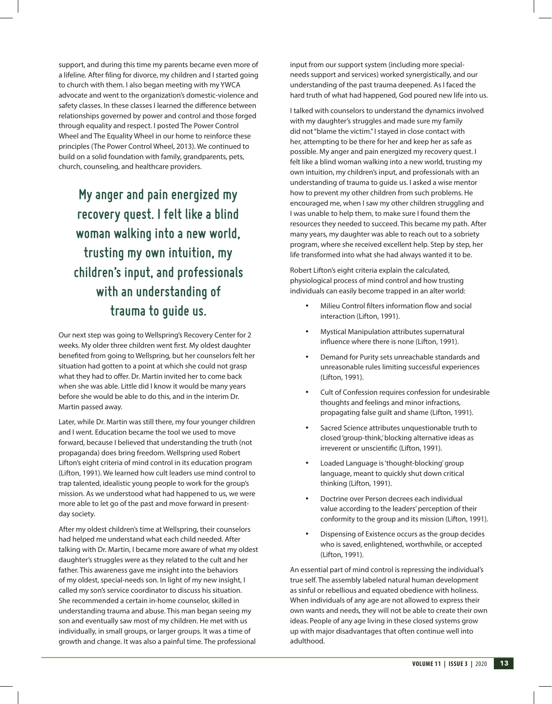support, and during this time my parents became even more of a lifeline. After filing for divorce, my children and I started going to church with them. I also began meeting with my YWCA advocate and went to the organization's domestic-violence and safety classes. In these classes I learned the difference between relationships governed by power and control and those forged through equality and respect. I posted The Power Control Wheel and The Equality Wheel in our home to reinforce these principles (The Power Control Wheel, 2013). We continued to build on a solid foundation with family, grandparents, pets, church, counseling, and healthcare providers.

**My anger and pain energized my recovery quest. I felt like a blind woman walking into a new world, trusting my own intuition, my children's input, and professionals with an understanding of trauma to guide us.**

Our next step was going to Wellspring's Recovery Center for 2 weeks. My older three children went first. My oldest daughter benefited from going to Wellspring, but her counselors felt her situation had gotten to a point at which she could not grasp what they had to offer. Dr. Martin invited her to come back when she was able. Little did I know it would be many years before she would be able to do this, and in the interim Dr. Martin passed away.

Later, while Dr. Martin was still there, my four younger children and I went. Education became the tool we used to move forward, because I believed that understanding the truth (not propaganda) does bring freedom. Wellspring used Robert Lifton's eight criteria of mind control in its education program (Lifton, 1991). We learned how cult leaders use mind control to trap talented, idealistic young people to work for the group's mission. As we understood what had happened to us, we were more able to let go of the past and move forward in presentday society.

After my oldest children's time at Wellspring, their counselors had helped me understand what each child needed. After talking with Dr. Martin, I became more aware of what my oldest daughter's struggles were as they related to the cult and her father. This awareness gave me insight into the behaviors of my oldest, special-needs son. In light of my new insight, I called my son's service coordinator to discuss his situation. She recommended a certain in-home counselor, skilled in understanding trauma and abuse. This man began seeing my son and eventually saw most of my children. He met with us individually, in small groups, or larger groups. It was a time of growth and change. It was also a painful time. The professional

input from our support system (including more specialneeds support and services) worked synergistically, and our understanding of the past trauma deepened. As I faced the hard truth of what had happened, God poured new life into us.

I talked with counselors to understand the dynamics involved with my daughter's struggles and made sure my family did not "blame the victim." I stayed in close contact with her, attempting to be there for her and keep her as safe as possible. My anger and pain energized my recovery quest. I felt like a blind woman walking into a new world, trusting my own intuition, my children's input, and professionals with an understanding of trauma to guide us. I asked a wise mentor how to prevent my other children from such problems. He encouraged me, when I saw my other children struggling and I was unable to help them, to make sure I found them the resources they needed to succeed. This became my path. After many years, my daughter was able to reach out to a sobriety program, where she received excellent help. Step by step, her life transformed into what she had always wanted it to be.

Robert Lifton's eight criteria explain the calculated, physiological process of mind control and how trusting individuals can easily become trapped in an alter world:

- Milieu Control filters information flow and social interaction (Lifton, 1991).
- Mystical Manipulation attributes supernatural influence where there is none (Lifton, 1991).
- Demand for Purity sets unreachable standards and unreasonable rules limiting successful experiences (Lifton, 1991).
- Cult of Confession requires confession for undesirable thoughts and feelings and minor infractions, propagating false guilt and shame (Lifton, 1991).
- Sacred Science attributes unquestionable truth to closed 'group-think,' blocking alternative ideas as irreverent or unscientific (Lifton, 1991).
- Loaded Language is 'thought-blocking' group language, meant to quickly shut down critical thinking (Lifton, 1991).
- Doctrine over Person decrees each individual value according to the leaders' perception of their conformity to the group and its mission (Lifton, 1991).
- Dispensing of Existence occurs as the group decides who is saved, enlightened, worthwhile, or accepted (Lifton, 1991).

An essential part of mind control is repressing the individual's true self. The assembly labeled natural human development as sinful or rebellious and equated obedience with holiness. When individuals of any age are not allowed to express their own wants and needs, they will not be able to create their own ideas. People of any age living in these closed systems grow up with major disadvantages that often continue well into adulthood.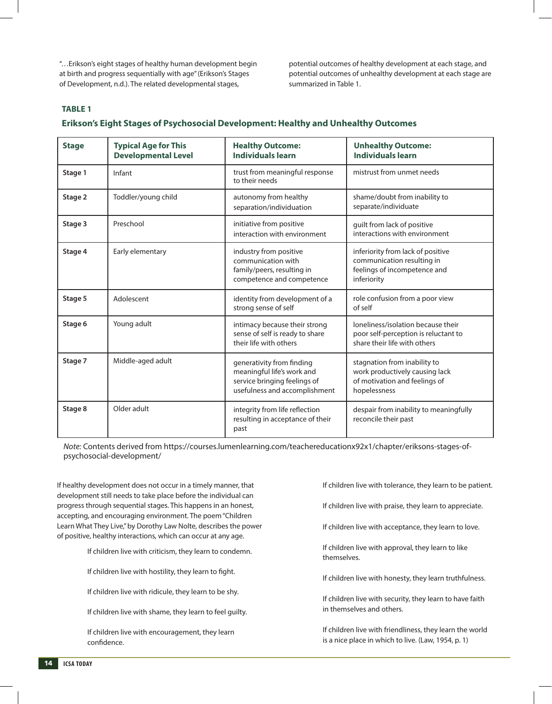"…Erikson's eight stages of healthy human development begin at birth and progress sequentially with age" (Erikson's Stages of Development, n.d.). The related developmental stages,

potential outcomes of healthy development at each stage, and potential outcomes of unhealthy development at each stage are summarized in Table 1.

### **TABLE 1**

### **Erikson's Eight Stages of Psychosocial Development: Healthy and Unhealthy Outcomes**

| <b>Stage</b> | <b>Typical Age for This</b><br><b>Developmental Level</b> | <b>Healthy Outcome:</b><br><b>Individuals learn</b>                                                                      | <b>Unhealthy Outcome:</b><br><b>Individuals learn</b>                                                           |
|--------------|-----------------------------------------------------------|--------------------------------------------------------------------------------------------------------------------------|-----------------------------------------------------------------------------------------------------------------|
| Stage 1      | Infant                                                    | trust from meaningful response<br>to their needs                                                                         | mistrust from unmet needs                                                                                       |
| Stage 2      | Toddler/young child                                       | autonomy from healthy<br>separation/individuation                                                                        | shame/doubt from inability to<br>separate/individuate                                                           |
| Stage 3      | Preschool                                                 | initiative from positive<br>interaction with environment                                                                 | guilt from lack of positive<br>interactions with environment                                                    |
| Stage 4      | Early elementary                                          | industry from positive<br>communication with<br>family/peers, resulting in<br>competence and competence                  | inferiority from lack of positive<br>communication resulting in<br>feelings of incompetence and<br>inferiority  |
| Stage 5      | Adolescent                                                | identity from development of a<br>strong sense of self                                                                   | role confusion from a poor view<br>of self                                                                      |
| Stage 6      | Young adult                                               | intimacy because their strong<br>sense of self is ready to share<br>their life with others                               | loneliness/isolation because their<br>poor self-perception is reluctant to<br>share their life with others      |
| Stage 7      | Middle-aged adult                                         | generativity from finding<br>meaningful life's work and<br>service bringing feelings of<br>usefulness and accomplishment | stagnation from inability to<br>work productively causing lack<br>of motivation and feelings of<br>hopelessness |
| Stage 8      | Older adult                                               | integrity from life reflection<br>resulting in acceptance of their<br>past                                               | despair from inability to meaningfully<br>reconcile their past                                                  |

*Note:* Contents derived from https://courses.lumenlearning.com/teachereducationx92x1/chapter/eriksons-stages-ofpsychosocial-development/

If healthy development does not occur in a timely manner, that development still needs to take place before the individual can progress through sequential stages. This happens in an honest, accepting, and encouraging environment. The poem "Children Learn What They Live," by Dorothy Law Nolte, describes the power of positive, healthy interactions, which can occur at any age.

If children live with criticism, they learn to condemn.

If children live with hostility, they learn to fight.

If children live with ridicule, they learn to be shy.

If children live with shame, they learn to feel guilty.

If children live with encouragement, they learn confidence.

If children live with tolerance, they learn to be patient.

If children live with praise, they learn to appreciate.

If children live with acceptance, they learn to love.

If children live with approval, they learn to like themselves.

If children live with honesty, they learn truthfulness.

If children live with security, they learn to have faith in themselves and others.

If children live with friendliness, they learn the world is a nice place in which to live. (Law, 1954, p. 1)